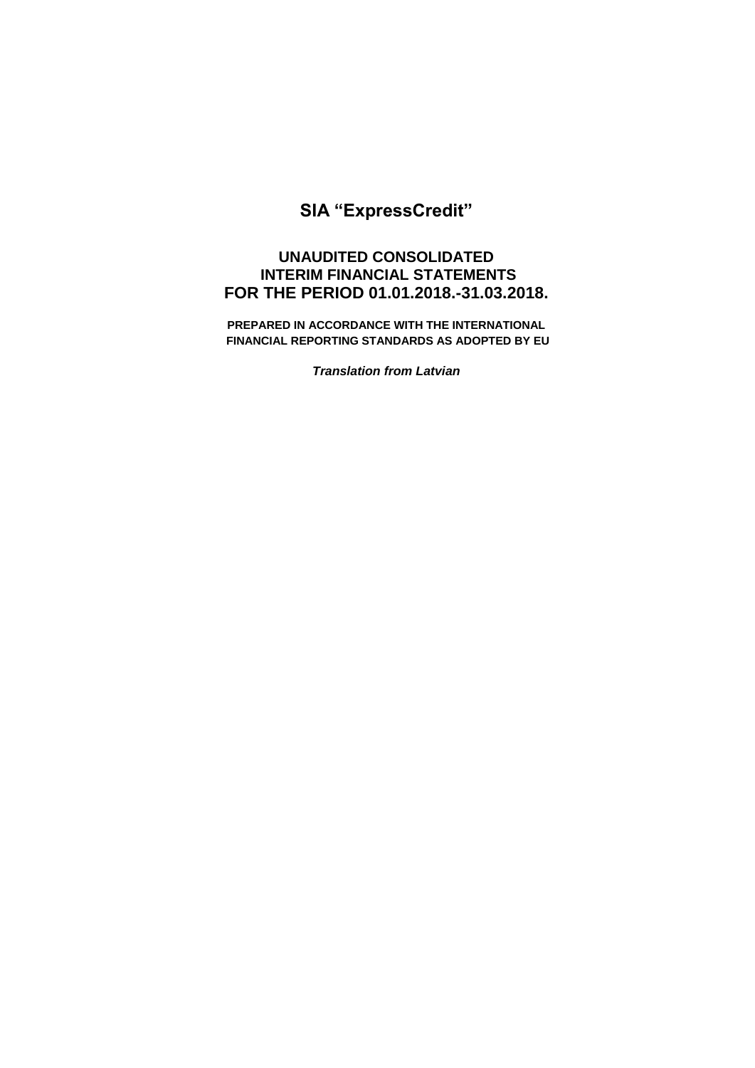# **SIA "ExpressCredit"**

# **UNAUDITED CONSOLIDATED INTERIM FINANCIAL STATEMENTS FOR THE PERIOD 01.01.2018.-31.03.2018.**

**PREPARED IN ACCORDANCE WITH THE INTERNATIONAL FINANCIAL REPORTING STANDARDS AS ADOPTED BY EU** 

*Translation from Latvian*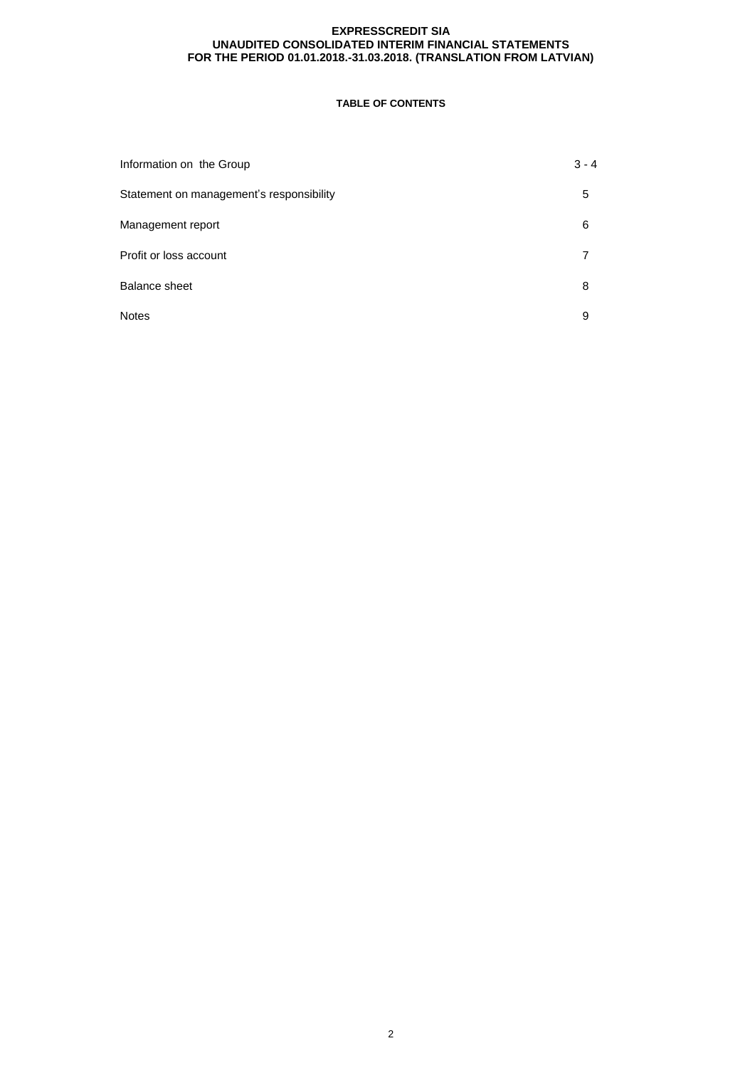#### **TABLE OF CONTENTS**

| Information on the Group                 | $3 - 4$ |
|------------------------------------------|---------|
| Statement on management's responsibility | 5       |
| Management report                        | 6       |
| Profit or loss account                   |         |
| <b>Balance sheet</b>                     | 8       |
| <b>Notes</b>                             | 9       |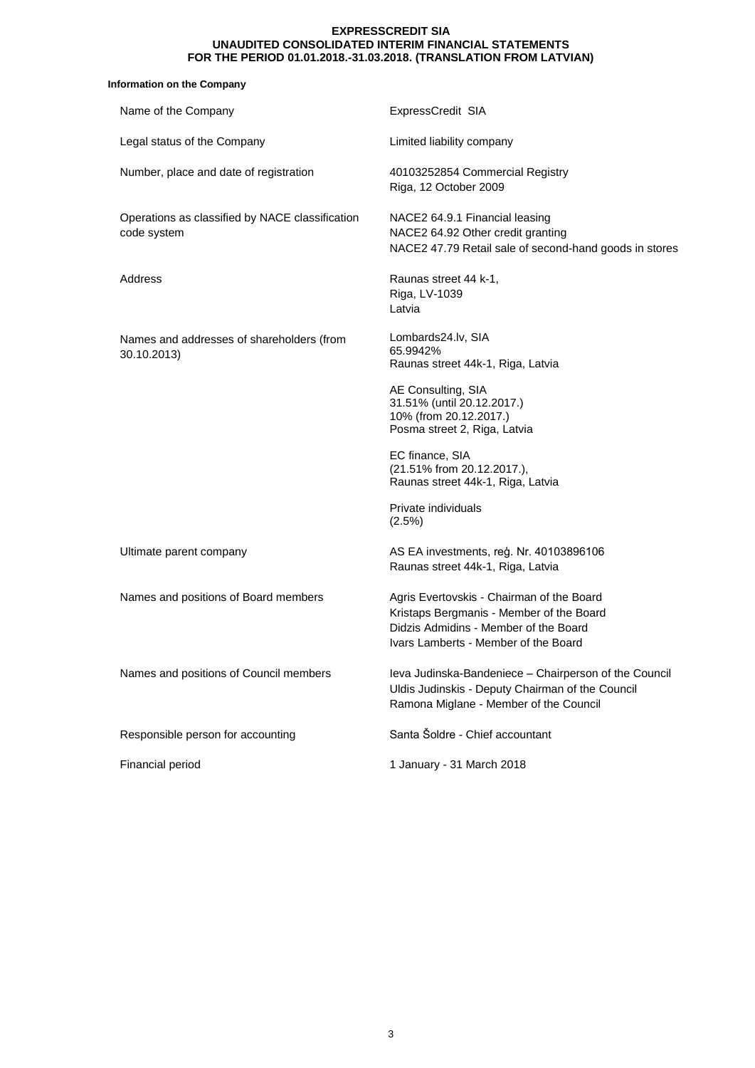#### **Information on the Company**

| Name of the Company                                            | ExpressCredit SIA                                                                                                                                                      |
|----------------------------------------------------------------|------------------------------------------------------------------------------------------------------------------------------------------------------------------------|
| Legal status of the Company                                    | Limited liability company                                                                                                                                              |
| Number, place and date of registration                         | 40103252854 Commercial Registry<br>Riga, 12 October 2009                                                                                                               |
| Operations as classified by NACE classification<br>code system | NACE2 64.9.1 Financial leasing<br>NACE2 64.92 Other credit granting<br>NACE2 47.79 Retail sale of second-hand goods in stores                                          |
| Address                                                        | Raunas street 44 k-1,<br>Riga, LV-1039<br>Latvia                                                                                                                       |
| Names and addresses of shareholders (from<br>30.10.2013)       | Lombards24.lv, SIA<br>65.9942%<br>Raunas street 44k-1, Riga, Latvia                                                                                                    |
|                                                                | AE Consulting, SIA<br>31.51% (until 20.12.2017.)<br>10% (from 20.12.2017.)<br>Posma street 2, Riga, Latvia                                                             |
|                                                                | EC finance, SIA<br>(21.51% from 20.12.2017.),<br>Raunas street 44k-1, Riga, Latvia                                                                                     |
|                                                                | Private individuals<br>$(2.5\%)$                                                                                                                                       |
| Ultimate parent company                                        | AS EA investments, reģ. Nr. 40103896106<br>Raunas street 44k-1, Riga, Latvia                                                                                           |
| Names and positions of Board members                           | Agris Evertovskis - Chairman of the Board<br>Kristaps Bergmanis - Member of the Board<br>Didzis Admidins - Member of the Board<br>Ivars Lamberts - Member of the Board |
| Names and positions of Council members                         | leva Judinska-Bandeniece - Chairperson of the Council<br>Uldis Judinskis - Deputy Chairman of the Council<br>Ramona Miglane - Member of the Council                    |
| Responsible person for accounting                              | Santa Šoldre - Chief accountant                                                                                                                                        |
| Financial period                                               | 1 January - 31 March 2018                                                                                                                                              |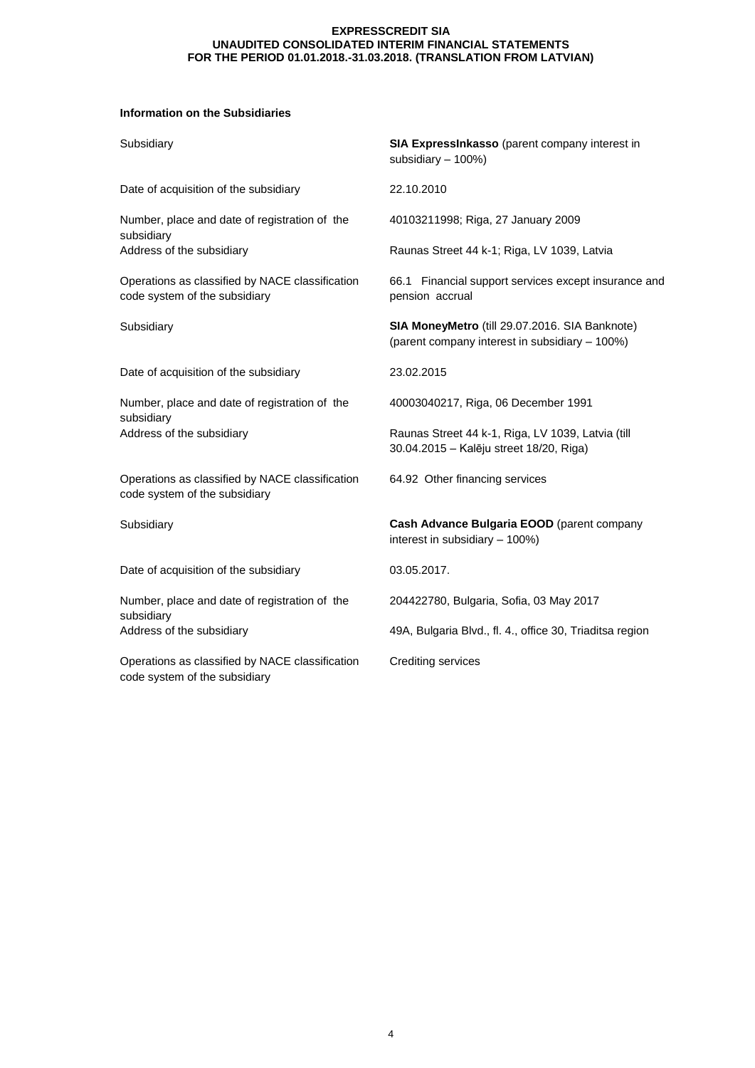## **Information on the Subsidiaries**

| Subsidiary                                                                       | SIA ExpressInkasso (parent company interest in<br>subsidiary - 100%)                             |
|----------------------------------------------------------------------------------|--------------------------------------------------------------------------------------------------|
| Date of acquisition of the subsidiary                                            | 22.10.2010                                                                                       |
| Number, place and date of registration of the                                    | 40103211998; Riga, 27 January 2009                                                               |
| subsidiary<br>Address of the subsidiary                                          | Raunas Street 44 k-1; Riga, LV 1039, Latvia                                                      |
| Operations as classified by NACE classification<br>code system of the subsidiary | 66.1 Financial support services except insurance and<br>pension accrual                          |
| Subsidiary                                                                       | SIA MoneyMetro (till 29.07.2016. SIA Banknote)<br>(parent company interest in subsidiary - 100%) |
| Date of acquisition of the subsidiary                                            | 23.02.2015                                                                                       |
| Number, place and date of registration of the                                    | 40003040217, Riga, 06 December 1991                                                              |
| subsidiary<br>Address of the subsidiary                                          | Raunas Street 44 k-1, Riga, LV 1039, Latvia (till<br>30.04.2015 - Kalēju street 18/20, Riga)     |
| Operations as classified by NACE classification<br>code system of the subsidiary | 64.92 Other financing services                                                                   |
| Subsidiary                                                                       | Cash Advance Bulgaria EOOD (parent company<br>interest in subsidiary - 100%)                     |
| Date of acquisition of the subsidiary                                            | 03.05.2017.                                                                                      |
| Number, place and date of registration of the                                    | 204422780, Bulgaria, Sofia, 03 May 2017                                                          |
| subsidiary<br>Address of the subsidiary                                          | 49A, Bulgaria Blvd., fl. 4., office 30, Triaditsa region                                         |
| Operations as classified by NACE classification<br>code system of the subsidiary | <b>Crediting services</b>                                                                        |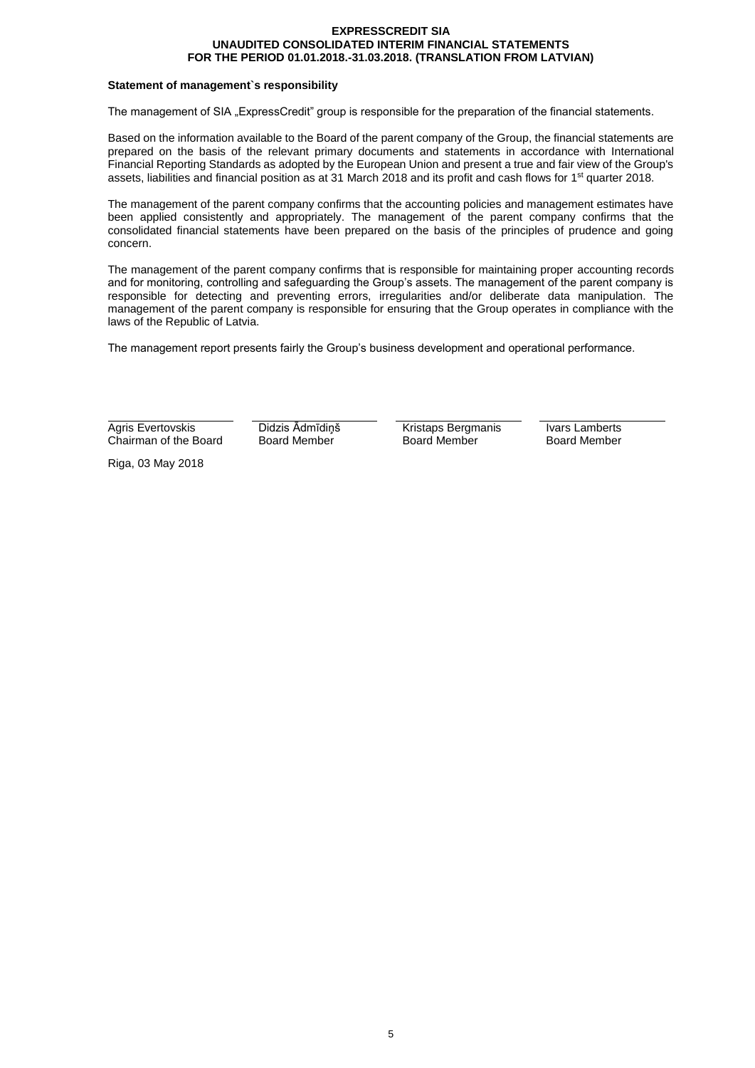#### **Statement of management`s responsibility**

The management of SIA "ExpressCredit" group is responsible for the preparation of the financial statements.

Based on the information available to the Board of the parent company of the Group, the financial statements are prepared on the basis of the relevant primary documents and statements in accordance with International Financial Reporting Standards as adopted by the European Union and present a true and fair view of the Group's assets, liabilities and financial position as at 31 March 2018 and its profit and cash flows for 1<sup>st</sup> quarter 2018.

The management of the parent company confirms that the accounting policies and management estimates have been applied consistently and appropriately. The management of the parent company confirms that the consolidated financial statements have been prepared on the basis of the principles of prudence and going concern.

The management of the parent company confirms that is responsible for maintaining proper accounting records and for monitoring, controlling and safeguarding the Group's assets. The management of the parent company is responsible for detecting and preventing errors, irregularities and/or deliberate data manipulation. The management of the parent company is responsible for ensuring that the Group operates in compliance with the laws of the Republic of Latvia.

The management report presents fairly the Group's business development and operational performance.

Agris Evertovskis Chairman of the Board Didzis Ādmīdiņš Board Member

Kristaps Bergmanis Board Member

Ivars Lamberts Board Member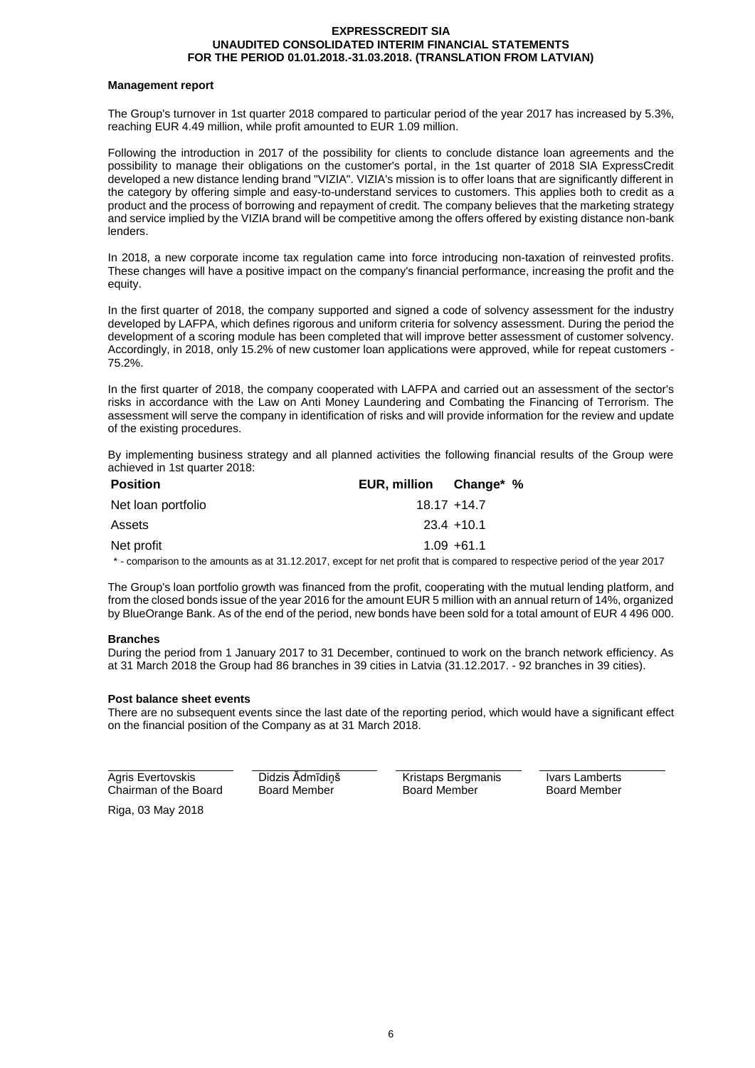#### **Management report**

The Group's turnover in 1st quarter 2018 compared to particular period of the year 2017 has increased by 5.3%, reaching EUR 4.49 million, while profit amounted to EUR 1.09 million.

Following the introduction in 2017 of the possibility for clients to conclude distance loan agreements and the possibility to manage their obligations on the customer's portal, in the 1st quarter of 2018 SIA ExpressCredit developed a new distance lending brand "VIZIA". VIZIA's mission is to offer loans that are significantly different in the category by offering simple and easy-to-understand services to customers. This applies both to credit as a product and the process of borrowing and repayment of credit. The company believes that the marketing strategy and service implied by the VIZIA brand will be competitive among the offers offered by existing distance non-bank lenders.

In 2018, a new corporate income tax regulation came into force introducing non-taxation of reinvested profits. These changes will have a positive impact on the company's financial performance, increasing the profit and the equity.

In the first quarter of 2018, the company supported and signed a code of solvency assessment for the industry developed by LAFPA, which defines rigorous and uniform criteria for solvency assessment. During the period the development of a scoring module has been completed that will improve better assessment of customer solvency. Accordingly, in 2018, only 15.2% of new customer loan applications were approved, while for repeat customers - 75.2%.

In the first quarter of 2018, the company cooperated with LAFPA and carried out an assessment of the sector's risks in accordance with the Law on Anti Money Laundering and Combating the Financing of Terrorism. The assessment will serve the company in identification of risks and will provide information for the review and update of the existing procedures.

By implementing business strategy and all planned activities the following financial results of the Group were achieved in 1st quarter 2018:

| <b>Position</b>    | EUR, million Change* % |               |
|--------------------|------------------------|---------------|
| Net loan portfolio | $18.17 + 14.7$         |               |
| Assets             |                        | $23.4 + 10.1$ |
| Net profit         |                        | $1.09 + 61.1$ |
|                    |                        |               |

\* - comparison to the amounts as at 31.12.2017, except for net profit that is compared to respective period of the year 2017

The Group's loan portfolio growth was financed from the profit, cooperating with the mutual lending platform, and from the closed bonds issue of the year 2016 for the amount EUR 5 million with an annual return of 14%, organized by BlueOrange Bank. As of the end of the period, new bonds have been sold for a total amount of EUR 4 496 000.

#### **Branches**

During the period from 1 January 2017 to 31 December, continued to work on the branch network efficiency. As at 31 March 2018 the Group had 86 branches in 39 cities in Latvia (31.12.2017. - 92 branches in 39 cities).

#### **Post balance sheet events**

There are no subsequent events since the last date of the reporting period, which would have a significant effect on the financial position of the Company as at 31 March 2018.

| Agris Evertovskis     | Didzis Ādmīdiņš     | Kristaps Bergmanis  | Ivars Lamberts      |
|-----------------------|---------------------|---------------------|---------------------|
| Chairman of the Board | <b>Board Member</b> | <b>Board Member</b> | <b>Board Member</b> |
| __                    |                     |                     |                     |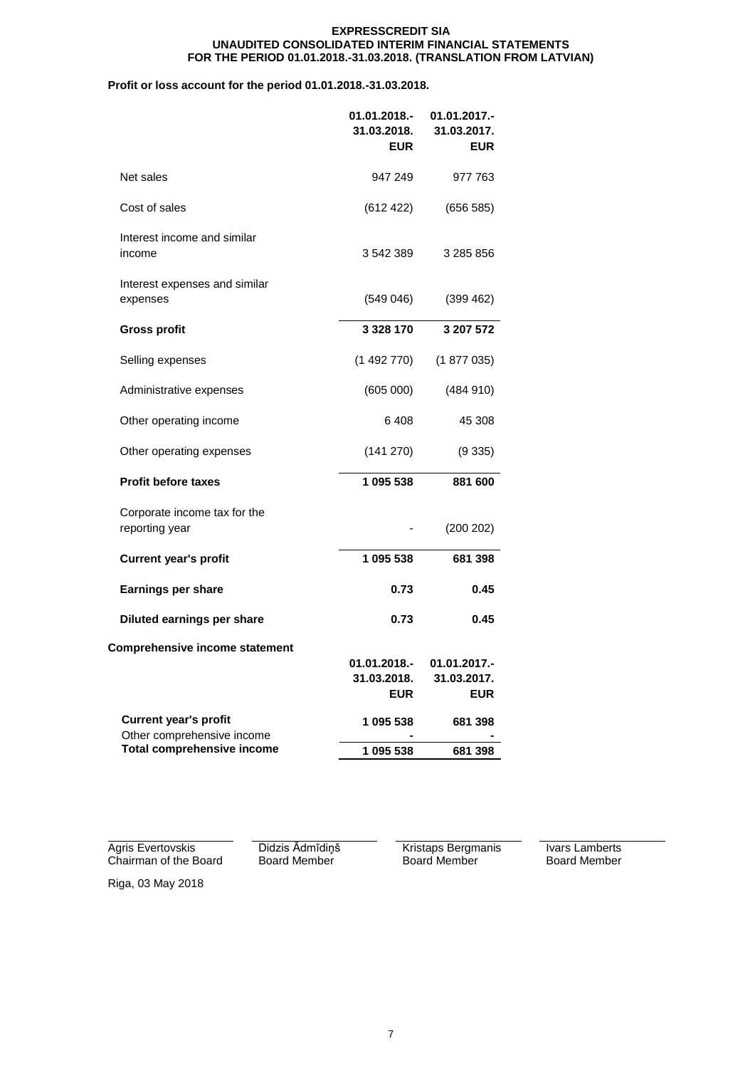**Profit or loss account for the period 01.01.2018.-31.03.2018.**

|                                                            | 01.01.2018.-<br>31.03.2018.<br><b>EUR</b> | 01.01.2017.-<br>31.03.2017.<br><b>EUR</b> |
|------------------------------------------------------------|-------------------------------------------|-------------------------------------------|
| Net sales                                                  | 947 249                                   | 977 763                                   |
| Cost of sales                                              | (612 422)                                 | (656 585)                                 |
| Interest income and similar<br>income                      | 3 542 389                                 | 3 285 856                                 |
| Interest expenses and similar<br>expenses                  | (549046)                                  | (399 462)                                 |
| <b>Gross profit</b>                                        | 3 3 28 1 70                               | 3 207 572                                 |
| Selling expenses                                           | (1492770)                                 | (1877035)                                 |
| Administrative expenses                                    | (605 000)                                 | (484910)                                  |
| Other operating income                                     | 6408                                      | 45 308                                    |
| Other operating expenses                                   | (141 270)                                 | (9335)                                    |
| <b>Profit before taxes</b>                                 | 1 095 538                                 | 881 600                                   |
| Corporate income tax for the<br>reporting year             |                                           | (200 202)                                 |
| <b>Current year's profit</b>                               | 1 095 538                                 | 681 398                                   |
| Earnings per share                                         | 0.73                                      | 0.45                                      |
| Diluted earnings per share                                 | 0.73                                      | 0.45                                      |
| <b>Comprehensive income statement</b>                      |                                           |                                           |
|                                                            | 01.01.2018.-                              | 01.01.2017.-                              |
|                                                            | 31.03.2018.<br><b>EUR</b>                 | 31.03.2017.<br><b>EUR</b>                 |
|                                                            |                                           |                                           |
| <b>Current year's profit</b><br>Other comprehensive income | 1 095 538                                 | 681 398                                   |
| <b>Total comprehensive income</b>                          | 1 095 538                                 | 681 398                                   |
|                                                            |                                           |                                           |

Agris Evertovskis Chairman of the Board Didzis Ādmīdiņš Board Member

Kristaps Bergmanis Board Member

Ivars Lamberts Board Member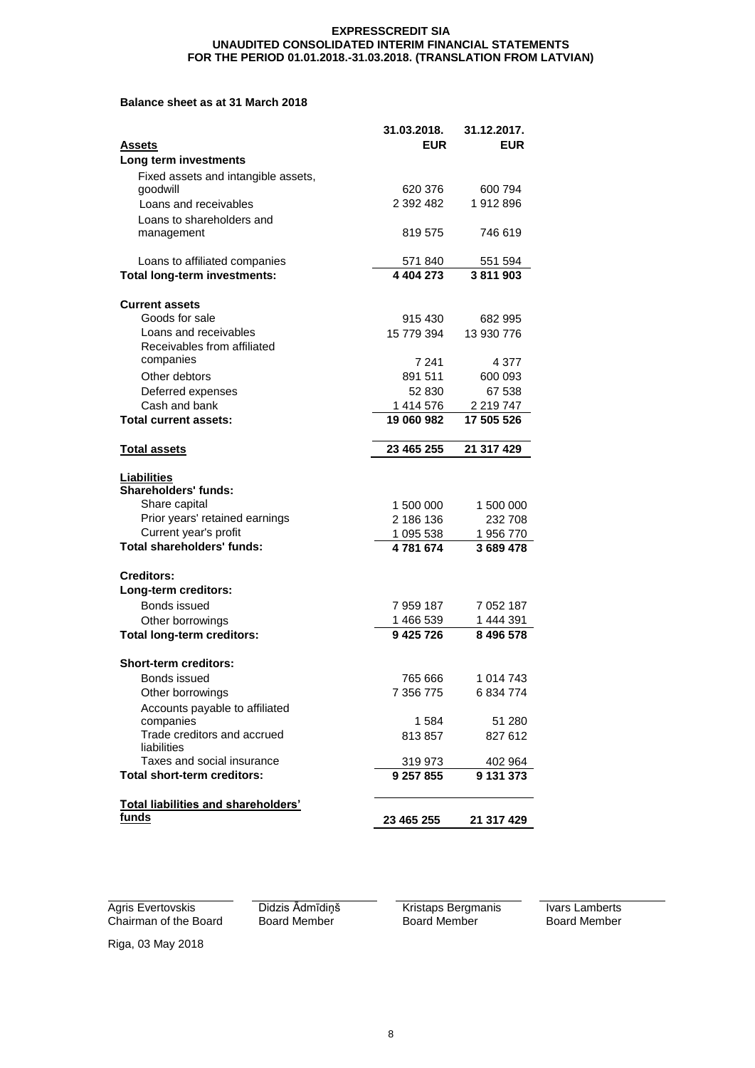### **Balance sheet as at 31 March 2018**

|                                           | 31.03.2018. | 31.12.2017.   |
|-------------------------------------------|-------------|---------------|
| <b>Assets</b>                             | <b>EUR</b>  | <b>EUR</b>    |
| Long term investments                     |             |               |
| Fixed assets and intangible assets,       |             |               |
| goodwill                                  | 620 376     | 600 794       |
| Loans and receivables                     | 2 392 482   | 1912896       |
| Loans to shareholders and                 |             |               |
| management                                | 819 575     | 746 619       |
|                                           |             |               |
| Loans to affiliated companies             | 571840      | 551 594       |
| Total long-term investments:              | 4 404 273   | 3811903       |
|                                           |             |               |
| <b>Current assets</b>                     |             |               |
| Goods for sale                            | 915 430     | 682 995       |
| Loans and receivables                     | 15 779 394  | 13 930 776    |
| Receivables from affiliated               |             |               |
| companies                                 | 7 241       | 4 3 7 7       |
| Other debtors                             | 891 511     | 600 093       |
| Deferred expenses                         | 52 830      | 67 538        |
| Cash and bank                             | 1 414 576   | 2 2 1 9 7 4 7 |
| <b>Total current assets:</b>              | 19 060 982  | 17 505 526    |
|                                           | 23 465 255  | 21 317 429    |
| <b>Total assets</b>                       |             |               |
| <b>Liabilities</b>                        |             |               |
| <b>Shareholders' funds:</b>               |             |               |
| Share capital                             | 1 500 000   | 1 500 000     |
| Prior years' retained earnings            | 2 186 136   | 232708        |
| Current year's profit                     | 1 095 538   | 1956770       |
| <b>Total shareholders' funds:</b>         | 4 781 674   | 3 689 478     |
|                                           |             |               |
| <b>Creditors:</b>                         |             |               |
| Long-term creditors:                      |             |               |
| Bonds issued                              | 7 959 187   | 7 052 187     |
| Other borrowings                          | 1466539     | 1 444 391     |
| <b>Total long-term creditors:</b>         | 9 4 25 7 26 | 8 496 578     |
|                                           |             |               |
| <b>Short-term creditors:</b>              |             |               |
| Bonds issued                              | 765 666     | 1 014 743     |
| Other borrowings                          | 7 356 775   | 6 834 774     |
| Accounts payable to affiliated            |             |               |
| companies                                 | 1 584       | 51 280        |
| Trade creditors and accrued               | 813 857     | 827 612       |
| liabilities<br>Taxes and social insurance |             |               |
| <b>Total short-term creditors:</b>        | 319 973     | 402 964       |
|                                           | 9 257 855   | 9 131 373     |
| Total liabilities and shareholders'       |             |               |
| <u>funds</u>                              | 23 465 255  | 21 317 429    |
|                                           |             |               |

Agris Evertovskis Chairman of the Board Didzis Ādmīdiņš Board Member

Kristaps Bergmanis Board Member

Ivars Lamberts Board Member